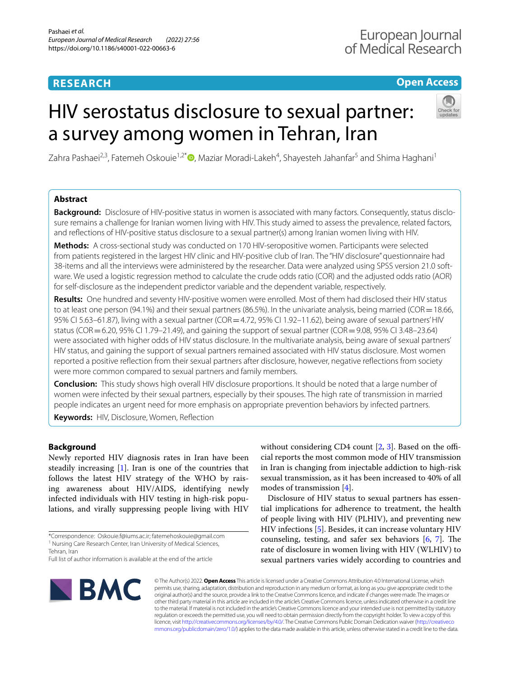# **RESEARCH**

# **Open Access**

# HIV serostatus disclosure to sexual partner: a survey among women in Tehran, Iran



Zahra Pashaei<sup>2[,](http://orcid.org/0000-0002-7471-2794)3</sup>, Fatemeh Oskouie<sup>1,2\*</sup>®, Maziar Moradi-Lakeh<sup>4</sup>, Shayesteh Jahanfar<sup>5</sup> and Shima Haghani<sup>1</sup>

## **Abstract**

Background: Disclosure of HIV-positive status in women is associated with many factors. Consequently, status disclosure remains a challenge for Iranian women living with HIV. This study aimed to assess the prevalence, related factors, and refections of HIV-positive status disclosure to a sexual partner(s) among Iranian women living with HIV.

**Methods:** A cross-sectional study was conducted on 170 HIV-seropositive women. Participants were selected from patients registered in the largest HIV clinic and HIV-positive club of Iran. The "HIV disclosure" questionnaire had 38-items and all the interviews were administered by the researcher. Data were analyzed using SPSS version 21.0 software. We used a logistic regression method to calculate the crude odds ratio (COR) and the adjusted odds ratio (AOR) for self-disclosure as the independent predictor variable and the dependent variable, respectively.

**Results:** One hundred and seventy HIV-positive women were enrolled. Most of them had disclosed their HIV status to at least one person (94.1%) and their sexual partners (86.5%). In the univariate analysis, being married (COR=18.66, 95% CI 5.63–61.87), living with a sexual partner (COR = 4.72, 95% CI 1.92–11.62), being aware of sexual partners' HIV status (COR=6.20, 95% CI 1.79–21.49), and gaining the support of sexual partner (COR=9.08, 95% CI 3.48–23.64) were associated with higher odds of HIV status disclosure. In the multivariate analysis, being aware of sexual partners' HIV status, and gaining the support of sexual partners remained associated with HIV status disclosure. Most women reported a positive refection from their sexual partners after disclosure, however, negative refections from society were more common compared to sexual partners and family members.

**Conclusion:** This study shows high overall HIV disclosure proportions. It should be noted that a large number of women were infected by their sexual partners, especially by their spouses. The high rate of transmission in married people indicates an urgent need for more emphasis on appropriate prevention behaviors by infected partners.

**Keywords:** HIV, Disclosure, Women, Refection

## **Background**

Newly reported HIV diagnosis rates in Iran have been steadily increasing [\[1](#page-8-0)]. Iran is one of the countries that follows the latest HIV strategy of the WHO by raising awareness about HIV/AIDS, identifying newly infected individuals with HIV testing in high-risk populations, and virally suppressing people living with HIV

\*Correspondence: Oskouie.f@iums.ac.ir; fatemehoskouie@gmail.com <sup>1</sup> Nursing Care Research Center, Iran University of Medical Sciences,

Full list of author information is available at the end of the article

without considering CD4 count  $[2, 3]$  $[2, 3]$  $[2, 3]$  $[2, 3]$ . Based on the official reports the most common mode of HIV transmission in Iran is changing from injectable addiction to high-risk sexual transmission, as it has been increased to 40% of all modes of transmission [\[4](#page-8-3)].

Disclosure of HIV status to sexual partners has essential implications for adherence to treatment, the health of people living with HIV (PLHIV), and preventing new HIV infections [[5](#page-8-4)]. Besides, it can increase voluntary HIV counseling, testing, and safer sex behaviors  $[6, 7]$  $[6, 7]$  $[6, 7]$  $[6, 7]$ . The rate of disclosure in women living with HIV (WLHIV) to sexual partners varies widely according to countries and



© The Author(s) 2022. **Open Access** This article is licensed under a Creative Commons Attribution 4.0 International License, which permits use, sharing, adaptation, distribution and reproduction in any medium or format, as long as you give appropriate credit to the original author(s) and the source, provide a link to the Creative Commons licence, and indicate if changes were made. The images or other third party material in this article are included in the article's Creative Commons licence, unless indicated otherwise in a credit line to the material. If material is not included in the article's Creative Commons licence and your intended use is not permitted by statutory regulation or exceeds the permitted use, you will need to obtain permission directly from the copyright holder. To view a copy of this licence, visit [http://creativecommons.org/licenses/by/4.0/.](http://creativecommons.org/licenses/by/4.0/) The Creative Commons Public Domain Dedication waiver ([http://creativeco](http://creativecommons.org/publicdomain/zero/1.0/) [mmons.org/publicdomain/zero/1.0/](http://creativecommons.org/publicdomain/zero/1.0/)) applies to the data made available in this article, unless otherwise stated in a credit line to the data.

Tehran, Iran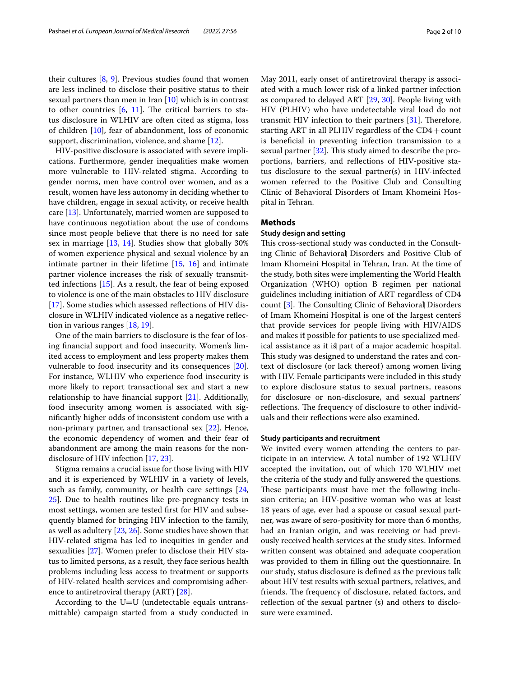their cultures [[8,](#page-8-7) [9](#page-8-8)]. Previous studies found that women are less inclined to disclose their positive status to their sexual partners than men in Iran  $[10]$  $[10]$  which is in contrast to other countries  $[6, 11]$  $[6, 11]$  $[6, 11]$  $[6, 11]$  $[6, 11]$ . The critical barriers to status disclosure in WLHIV are often cited as stigma, loss of children [[10](#page-8-9)], fear of abandonment, loss of economic support, discrimination, violence, and shame [\[12](#page-8-11)].

HIV-positive disclosure is associated with severe implications. Furthermore, gender inequalities make women more vulnerable to HIV-related stigma. According to gender norms, men have control over women, and as a result, women have less autonomy in deciding whether to have children, engage in sexual activity, or receive health care [\[13](#page-8-12)]. Unfortunately, married women are supposed to have continuous negotiation about the use of condoms since most people believe that there is no need for safe sex in marriage [[13](#page-8-12), [14\]](#page-8-13). Studies show that globally 30% of women experience physical and sexual violence by an intimate partner in their lifetime [[15,](#page-8-14) [16\]](#page-8-15) and intimate partner violence increases the risk of sexually transmitted infections [[15\]](#page-8-14). As a result, the fear of being exposed to violence is one of the main obstacles to HIV disclosure [[17\]](#page-9-0). Some studies which assessed reflections of HIV disclosure in WLHIV indicated violence as a negative refection in various ranges [\[18](#page-9-1), [19](#page-9-2)].

One of the main barriers to disclosure is the fear of losing fnancial support and food insecurity. Women's limited access to employment and less property makes them vulnerable to food insecurity and its consequences [\[20](#page-9-3)]. For instance, WLHIV who experience food insecurity is more likely to report transactional sex and start a new relationship to have fnancial support [[21](#page-9-4)]. Additionally, food insecurity among women is associated with signifcantly higher odds of inconsistent condom use with a non-primary partner, and transactional sex [\[22](#page-9-5)]. Hence, the economic dependency of women and their fear of abandonment are among the main reasons for the nondisclosure of HIV infection [[17,](#page-9-0) [23](#page-9-6)].

Stigma remains a crucial issue for those living with HIV and it is experienced by WLHIV in a variety of levels, such as family, community, or health care settings [\[24](#page-9-7), [25\]](#page-9-8). Due to health routines like pre-pregnancy tests in most settings, women are tested frst for HIV and subsequently blamed for bringing HIV infection to the family, as well as adultery [\[23,](#page-9-6) [26](#page-9-9)]. Some studies have shown that HIV-related stigma has led to inequities in gender and sexualities [[27\]](#page-9-10). Women prefer to disclose their HIV status to limited persons, as a result, they face serious health problems including less access to treatment or supports of HIV-related health services and compromising adherence to antiretroviral therapy (ART) [\[28](#page-9-11)].

According to the  $U=U$  (undetectable equals untransmittable) campaign started from a study conducted in May 2011, early onset of antiretroviral therapy is associated with a much lower risk of a linked partner infection as compared to delayed ART [\[29,](#page-9-12) [30\]](#page-9-13). People living with HIV (PLHIV) who have undetectable viral load do not transmit HIV infection to their partners  $[31]$  $[31]$ . Therefore, starting ART in all PLHIV regardless of the  $CD4 + count$ is benefcial in preventing infection transmission to a sexual partner  $[32]$  $[32]$  $[32]$ . This study aimed to describe the proportions, barriers, and refections of HIV-positive status disclosure to the sexual partner(s) in HIV-infected women referred to the Positive Club and Consulting Clinic of Behavioral Disorders of Imam Khomeini Hospital in Tehran.

## **Methods**

## **Study design and setting**

This cross-sectional study was conducted in the Consulting Clinic of Behavioral Disorders and Positive Club of Imam Khomeini Hospital in Tehran, Iran. At the time of the study, both sites were implementing the World Health Organization (WHO) option B regimen per national guidelines including initiation of ART regardless of CD4 count [\[3](#page-8-2)]. The Consulting Clinic of Behavioral Disorders of Imam Khomeini Hospital is one of the largest centers that provide services for people living with HIV/AIDS and makes it possible for patients to use specialized medical assistance as it is part of a major academic hospital. This study was designed to understand the rates and context of disclosure (or lack thereof) among women living with HIV. Female participants were included in this study to explore disclosure status to sexual partners, reasons for disclosure or non-disclosure, and sexual partners' reflections. The frequency of disclosure to other individuals and their refections were also examined.

#### **Study participants and recruitment**

We invited every women attending the centers to participate in an interview. A total number of 192 WLHIV accepted the invitation, out of which 170 WLHIV met the criteria of the study and fully answered the questions. These participants must have met the following inclusion criteria; an HIV-positive woman who was at least 18 years of age, ever had a spouse or casual sexual partner, was aware of sero-positivity for more than 6 months, had an Iranian origin, and was receiving or had previously received health services at the study sites. Informed written consent was obtained and adequate cooperation was provided to them in flling out the questionnaire. In our study, status disclosure is defned as the previous talk about HIV test results with sexual partners, relatives, and friends. The frequency of disclosure, related factors, and reflection of the sexual partner (s) and others to disclosure were examined.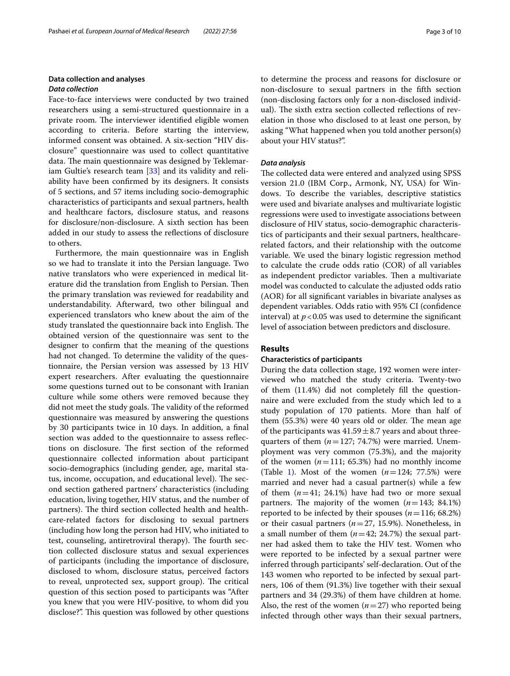## **Data collection and analyses** *Data collection*

Face-to-face interviews were conducted by two trained researchers using a semi-structured questionnaire in a private room. The interviewer identified eligible women according to criteria. Before starting the interview, informed consent was obtained. A six-section "HIV disclosure" questionnaire was used to collect quantitative data. The main questionnaire was designed by Teklemariam Gultie's research team [\[33\]](#page-9-16) and its validity and reliability have been confrmed by its designers. It consists of 5 sections, and 57 items including socio-demographic characteristics of participants and sexual partners, health and healthcare factors, disclosure status, and reasons for disclosure/non-disclosure. A sixth section has been added in our study to assess the refections of disclosure to others.

Furthermore, the main questionnaire was in English so we had to translate it into the Persian language. Two native translators who were experienced in medical literature did the translation from English to Persian. Then the primary translation was reviewed for readability and understandability. Afterward, two other bilingual and experienced translators who knew about the aim of the study translated the questionnaire back into English. The obtained version of the questionnaire was sent to the designer to confrm that the meaning of the questions had not changed. To determine the validity of the questionnaire, the Persian version was assessed by 13 HIV expert researchers. After evaluating the questionnaire some questions turned out to be consonant with Iranian culture while some others were removed because they did not meet the study goals. The validity of the reformed questionnaire was measured by answering the questions by 30 participants twice in 10 days. In addition, a fnal section was added to the questionnaire to assess refections on disclosure. The first section of the reformed questionnaire collected information about participant socio-demographics (including gender, age, marital status, income, occupation, and educational level). The second section gathered partners' characteristics (including education, living together, HIV status, and the number of partners). The third section collected health and healthcare-related factors for disclosing to sexual partners (including how long the person had HIV, who initiated to test, counseling, antiretroviral therapy). The fourth section collected disclosure status and sexual experiences of participants (including the importance of disclosure, disclosed to whom, disclosure status, perceived factors to reveal, unprotected sex, support group). The critical question of this section posed to participants was "After you knew that you were HIV-positive, to whom did you disclose?". This question was followed by other questions to determine the process and reasons for disclosure or non-disclosure to sexual partners in the ffth section (non-disclosing factors only for a non-disclosed individual). The sixth extra section collected reflections of revelation in those who disclosed to at least one person, by asking "What happened when you told another person(s) about your HIV status?".

#### *Data analysis*

The collected data were entered and analyzed using SPSS version 21.0 (IBM Corp., Armonk, NY, USA) for Windows. To describe the variables, descriptive statistics were used and bivariate analyses and multivariate logistic regressions were used to investigate associations between disclosure of HIV status, socio-demographic characteristics of participants and their sexual partners, healthcarerelated factors, and their relationship with the outcome variable. We used the binary logistic regression method to calculate the crude odds ratio (COR) of all variables as independent predictor variables. Then a multivariate model was conducted to calculate the adjusted odds ratio (AOR) for all signifcant variables in bivariate analyses as dependent variables. Odds ratio with 95% CI (confdence interval) at  $p < 0.05$  was used to determine the significant level of association between predictors and disclosure.

## **Results**

#### **Characteristics of participants**

During the data collection stage, 192 women were interviewed who matched the study criteria. Twenty-two of them (11.4%) did not completely fll the questionnaire and were excluded from the study which led to a study population of 170 patients. More than half of them  $(55.3%)$  were 40 years old or older. The mean age of the participants was  $41.59 \pm 8.7$  years and about threequarters of them  $(n=127; 74.7%)$  were married. Unemployment was very common (75.3%), and the majority of the women  $(n=111; 65.3%)$  had no monthly income (Table [1\)](#page-3-0). Most of the women  $(n=124; 77.5%)$  were married and never had a casual partner(s) while a few of them  $(n=41; 24.1%)$  have had two or more sexual partners. The majority of the women  $(n=143; 84.1%)$ reported to be infected by their spouses  $(n=116; 68.2%)$ or their casual partners (*n*=27, 15.9%). Nonetheless, in a small number of them  $(n=42; 24.7%)$  the sexual partner had asked them to take the HIV test. Women who were reported to be infected by a sexual partner were inferred through participants' self-declaration. Out of the 143 women who reported to be infected by sexual partners, 106 of them (91.3%) live together with their sexual partners and 34 (29.3%) of them have children at home. Also, the rest of the women  $(n=27)$  who reported being infected through other ways than their sexual partners,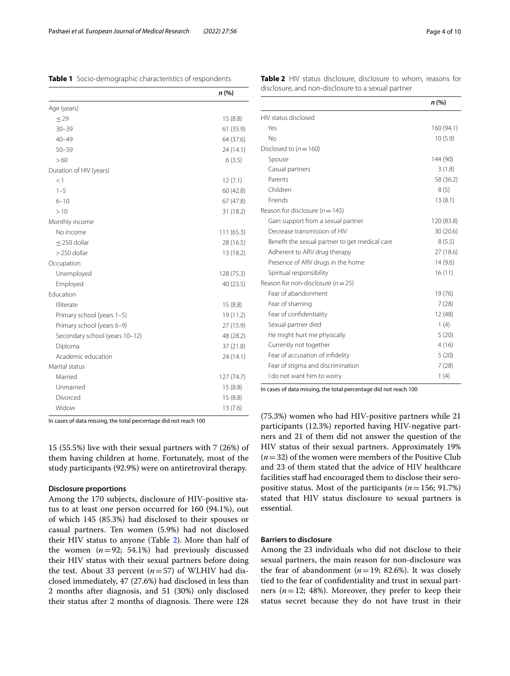<span id="page-3-0"></span>**Table 1** Socio-demographic characteristics of respondents

|                                | n(%)       |
|--------------------------------|------------|
| Age (years)                    |            |
| $\leq$ 29                      | 15(8.8)    |
| $30 - 39$                      | 61 (35.9)  |
| $40 - 49$                      | 64 (37.6)  |
| $50 - 59$                      | 24 (14.1)  |
| >60                            | 6(3.5)     |
| Duration of HIV (years)        |            |
| <1                             | 12(7.1)    |
| $1 - 5$                        | 60 (42.8)  |
| $6 - 10$                       | 67(47.8)   |
| >10                            | 31 (18.2)  |
| Monthly income                 |            |
| No income                      | 111(65.3)  |
| $\leq$ 250 dollar              | 28 (16.5)  |
| $>$ 250 dollar                 | 13 (18.2)  |
| Occupation                     |            |
| Unemployed                     | 128 (75.3) |
| Employed                       | 40 (23.5)  |
| Education                      |            |
| Illiterate                     | 15(8.8)    |
| Primary school (years 1-5)     | 19 (11.2)  |
| Primary school (years 6-9)     | 27 (15.9)  |
| Secondary school (years 10-12) | 48 (28.2)  |
| Diploma                        | 37(21.8)   |
| Academic education             | 24 (14.1)  |
| Marital status                 |            |
| Married                        | 127 (74.7) |
| Unmarried                      | 15(8.8)    |
| Divorced                       | 15(8.8)    |
| Widow                          | 13(7.6)    |

In cases of data missing, the total percentage did not reach 100

15 (55.5%) live with their sexual partners with 7 (26%) of them having children at home. Fortunately, most of the study participants (92.9%) were on antiretroviral therapy.

## **Disclosure proportions**

Among the 170 subjects, disclosure of HIV-positive status to at least one person occurred for 160 (94.1%), out of which 145 (85.3%) had disclosed to their spouses or casual partners. Ten women (5.9%) had not disclosed their HIV status to anyone (Table [2\)](#page-3-1). More than half of the women  $(n=92; 54.1%)$  had previously discussed their HIV status with their sexual partners before doing the test. About 33 percent  $(n=57)$  of WLHIV had disclosed immediately, 47 (27.6%) had disclosed in less than 2 months after diagnosis, and 51 (30%) only disclosed their status after 2 months of diagnosis. There were 128

<span id="page-3-1"></span>

|                                                | n(%)       |
|------------------------------------------------|------------|
| HIV status disclosed                           |            |
| Yes                                            | 160 (94.1) |
| No                                             | 10(5.9)    |
| Disclosed to $(n = 160)$                       |            |
| Spouse                                         | 144 (90)   |
| Casual partners                                | 3(1.8)     |
| Parents                                        | 58 (36.2)  |
| Children                                       | 8(5)       |
| Friends                                        | 13(8.1)    |
| Reason for disclosure ( $n = 145$ )            |            |
| Gain support from a sexual partner             | 120 (83.8) |
| Decrease transmission of HIV                   | 30(20.6)   |
| Benefit the sexual partner to get medical care | 8(5.5)     |
| Adherent to ARV drug therapy                   | 27(18.6)   |
| Presence of ARV drugs in the home              | 14(9.6)    |
| Spiritual responsibility                       | 16(11)     |
| Reason for non-disclosure $(n=25)$             |            |
| Fear of abandonment                            | 19 (76)    |
| Fear of shaming                                | 7(28)      |
| Fear of confidentiality                        | 12 (48)    |
| Sexual partner died                            | 1(4)       |
| He might hurt me physically                    | 5(20)      |
| Currently not together                         | 4(16)      |
| Fear of accusation of infidelity               | 5(20)      |
| Fear of stigma and discrimination              | 7(28)      |
| I do not want him to worry                     | 1(4)       |

In cases of data missing, the total percentage did not reach 100

(75.3%) women who had HIV-positive partners while 21 participants (12.3%) reported having HIV-negative partners and 21 of them did not answer the question of the HIV status of their sexual partners. Approximately 19% (*n*=32) of the women were members of the Positive Club and 23 of them stated that the advice of HIV healthcare facilities staff had encouraged them to disclose their seropositive status. Most of the participants (*n*=156; 91.7%) stated that HIV status disclosure to sexual partners is essential.

## **Barriers to disclosure**

Among the 23 individuals who did not disclose to their sexual partners, the main reason for non-disclosure was the fear of abandonment  $(n=19; 82.6%)$ . It was closely tied to the fear of confdentiality and trust in sexual partners  $(n=12; 48%)$ . Moreover, they prefer to keep their status secret because they do not have trust in their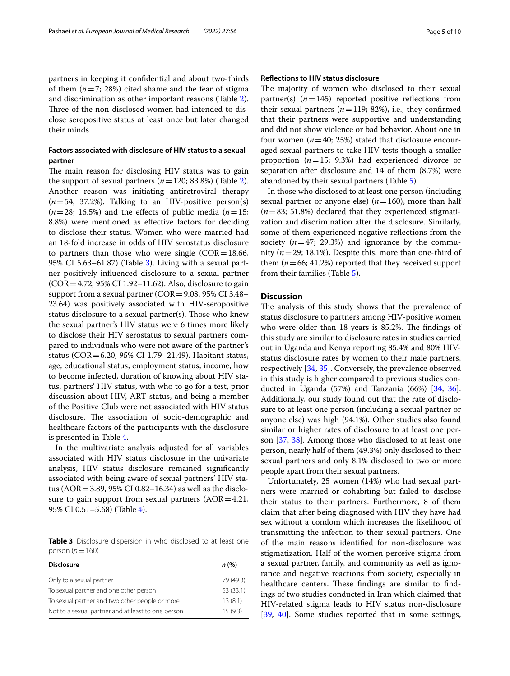## **Factors associated with disclosure of HIV status to a sexual partner**

The main reason for disclosing HIV status was to gain the support of sexual partners  $(n=120; 83.8%)$  $(n=120; 83.8%)$  $(n=120; 83.8%)$  (Table 2). Another reason was initiating antiretroviral therapy  $(n=54; 37.2\%)$ . Talking to an HIV-positive person(s)  $(n=28; 16.5%)$  and the effects of public media  $(n=15;$ 8.8%) were mentioned as efective factors for deciding to disclose their status. Women who were married had an 18-fold increase in odds of HIV serostatus disclosure to partners than those who were single  $(COR = 18.66,$ 95% CI 5.63–61.87) (Table [3](#page-4-0)). Living with a sexual partner positively infuenced disclosure to a sexual partner (COR=4.72, 95% CI 1.92–11.62). Also, disclosure to gain support from a sexual partner ( $COR = 9.08$ , 95% CI 3.48– 23.64) was positively associated with HIV-seropositive status disclosure to a sexual partner(s). Those who knew the sexual partner's HIV status were 6 times more likely to disclose their HIV serostatus to sexual partners compared to individuals who were not aware of the partner's status (COR=6.20, 95% CI 1.79–21.49). Habitant status, age, educational status, employment status, income, how to become infected, duration of knowing about HIV status, partners' HIV status, with who to go for a test, prior discussion about HIV, ART status, and being a member of the Positive Club were not associated with HIV status disclosure. The association of socio-demographic and healthcare factors of the participants with the disclosure is presented in Table [4.](#page-5-0)

In the multivariate analysis adjusted for all variables associated with HIV status disclosure in the univariate analysis, HIV status disclosure remained signifcantly associated with being aware of sexual partners' HIV status (AOR=3.89, 95% CI 0.82–16.34) as well as the disclosure to gain support from sexual partners  $(AOR=4.21,$ 95% CI 0.51–5.68) (Table [4](#page-5-0)).

<span id="page-4-0"></span>**Table 3** Disclosure dispersion in who disclosed to at least one person (*n*=160)

| <b>Disclosure</b>                                  | n(%)      |
|----------------------------------------------------|-----------|
| Only to a sexual partner                           | 79 (49.3) |
| To sexual partner and one other person             | 53 (33.1) |
| To sexual partner and two other people or more     | 13(8.1)   |
| Not to a sexual partner and at least to one person | 15(9.3)   |

#### **Refections to HIV status disclosure**

The majority of women who disclosed to their sexual partner(s)  $(n=145)$  reported positive reflections from their sexual partners  $(n=119; 82\%)$ , i.e., they confirmed that their partners were supportive and understanding and did not show violence or bad behavior. About one in four women  $(n=40; 25%)$  stated that disclosure encouraged sexual partners to take HIV tests though a smaller proportion (*n*=15; 9.3%) had experienced divorce or separation after disclosure and 14 of them (8.7%) were abandoned by their sexual partners (Table [5](#page-6-0)).

In those who disclosed to at least one person (including sexual partner or anyone else) (*n*=160), more than half (*n*=83; 51.8%) declared that they experienced stigmatization and discrimination after the disclosure. Similarly, some of them experienced negative refections from the society  $(n=47; 29.3%)$  and ignorance by the community (*n*=29; 18.1%). Despite this, more than one-third of them  $(n=66; 41.2%)$  reported that they received support from their families (Table [5\)](#page-6-0).

#### **Discussion**

The analysis of this study shows that the prevalence of status disclosure to partners among HIV-positive women who were older than 18 years is 85.2%. The findings of this study are similar to disclosure rates in studies carried out in Uganda and Kenya reporting 85.4% and 80% HIVstatus disclosure rates by women to their male partners, respectively [[34](#page-9-17), [35\]](#page-9-18). Conversely, the prevalence observed in this study is higher compared to previous studies conducted in Uganda (57%) and Tanzania (66%) [[34](#page-9-17), [36](#page-9-19)]. Additionally, our study found out that the rate of disclosure to at least one person (including a sexual partner or anyone else) was high (94.1%). Other studies also found similar or higher rates of disclosure to at least one person [[37](#page-9-20), [38\]](#page-9-21). Among those who disclosed to at least one person, nearly half of them (49.3%) only disclosed to their sexual partners and only 8.1% disclosed to two or more people apart from their sexual partners.

Unfortunately, 25 women (14%) who had sexual partners were married or cohabiting but failed to disclose their status to their partners. Furthermore, 8 of them claim that after being diagnosed with HIV they have had sex without a condom which increases the likelihood of transmitting the infection to their sexual partners. One of the main reasons identifed for non-disclosure was stigmatization. Half of the women perceive stigma from a sexual partner, family, and community as well as ignorance and negative reactions from society, especially in healthcare centers. These findings are similar to findings of two studies conducted in Iran which claimed that HIV-related stigma leads to HIV status non-disclosure [[39,](#page-9-22) [40](#page-9-23)]. Some studies reported that in some settings,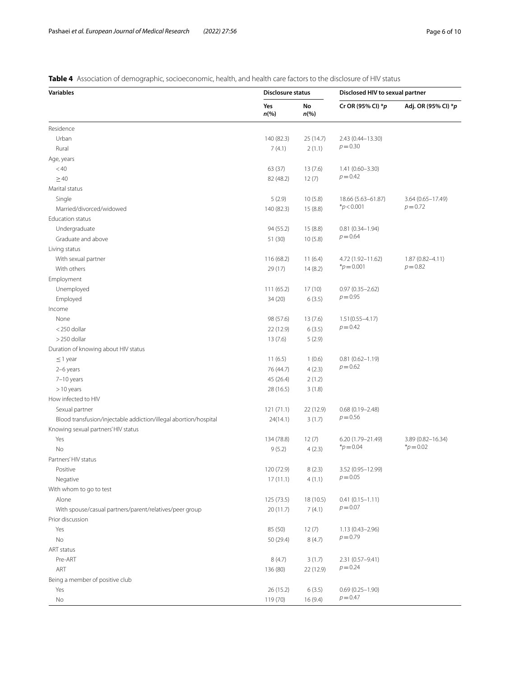# <span id="page-5-0"></span>**Table 4** Association of demographic, socioeconomic, health, and health care factors to the disclosure of HIV status

| <b>Variables</b>                                                 | Disclosure status         |               | Disclosed HIV to sexual partner   |                     |
|------------------------------------------------------------------|---------------------------|---------------|-----------------------------------|---------------------|
|                                                                  | Yes<br>$n\left(\%\right)$ | No<br>$n$ (%) | Cr OR (95% CI) *p                 | Adj. OR (95% CI) *p |
| Residence                                                        |                           |               |                                   |                     |
| Urban                                                            | 140 (82.3)                | 25 (14.7)     | 2.43 (0.44-13.30)                 |                     |
| Rural                                                            | 7(4.1)                    | 2(1.1)        | $p = 0.30$                        |                     |
| Age, years                                                       |                           |               |                                   |                     |
| < 40                                                             | 63 (37)                   | 13(7.6)       | $1.41(0.60 - 3.30)$               |                     |
| $\geq 40$                                                        | 82 (48.2)                 | 12(7)         | $p = 0.42$                        |                     |
| Marital status                                                   |                           |               |                                   |                     |
| Single                                                           | 5(2.9)                    | 10(5.8)       | 18.66 (5.63-61.87)                | 3.64 (0.65-17.49)   |
| Married/divorced/widowed                                         | 140 (82.3)                | 15(8.8)       | * $p < 0.001$                     | $p = 0.72$          |
| Education status                                                 |                           |               |                                   |                     |
| Undergraduate                                                    | 94 (55.2)                 | 15(8.8)       | $0.81(0.34 - 1.94)$               |                     |
| Graduate and above                                               | 51 (30)                   | 10(5.8)       | $p = 0.64$                        |                     |
| Living status                                                    |                           |               |                                   |                     |
| With sexual partner                                              | 116 (68.2)                | 11(6.4)       | 4.72 (1.92-11.62)                 | $1.87(0.82 - 4.11)$ |
| With others                                                      | 29 (17)                   | 14(8.2)       | $*_{p=0.001}$                     | $p = 0.82$          |
| Employment                                                       |                           |               |                                   |                     |
| Unemployed                                                       |                           | 17(10)        |                                   |                     |
|                                                                  | 111(65.2)                 |               | $0.97(0.35 - 2.62)$<br>$p = 0.95$ |                     |
| Employed                                                         | 34 (20)                   | 6(3.5)        |                                   |                     |
| Income                                                           |                           |               |                                   |                     |
| None                                                             | 98 (57.6)                 | 13(7.6)       | $1.51(0.55 - 4.17)$<br>$p = 0.42$ |                     |
| <250 dollar                                                      | 22 (12.9)                 | 6(3.5)        |                                   |                     |
| $>$ 250 dollar                                                   | 13(7.6)                   | 5(2.9)        |                                   |                     |
| Duration of knowing about HIV status                             |                           |               |                                   |                     |
| $\leq$ 1 year                                                    | 11(6.5)                   | 1(0.6)        | $0.81(0.62 - 1.19)$<br>$p = 0.62$ |                     |
| 2-6 years                                                        | 76 (44.7)                 | 4(2.3)        |                                   |                     |
| 7-10 years                                                       | 45 (26.4)                 | 2(1.2)        |                                   |                     |
| $>10$ years                                                      | 28 (16.5)                 | 3(1.8)        |                                   |                     |
| How infected to HIV                                              |                           |               |                                   |                     |
| Sexual partner                                                   | 121(71.1)                 | 22 (12.9)     | $0.68(0.19 - 2.48)$               |                     |
| Blood transfusion/injectable addiction/illegal abortion/hospital | 24(14.1)                  | 3(1.7)        | $p = 0.56$                        |                     |
| Knowing sexual partners' HIV status                              |                           |               |                                   |                     |
| Yes                                                              | 134 (78.8)                | 12(7)         | 6.20 (1.79-21.49)                 | 3.89 (0.82-16.34)   |
| No                                                               | 9(5.2)                    | 4(2.3)        | $*_{p=0.04}$                      | $*_{p=0.02}$        |
| Partners' HIV status                                             |                           |               |                                   |                     |
| Positive                                                         | 120 (72.9)                | 8(2.3)        | 3.52 (0.95-12.99)                 |                     |
| Negative                                                         | 17(11.1)                  | 4(1.1)        | $p = 0.05$                        |                     |
| With whom to go to test                                          |                           |               |                                   |                     |
| Alone                                                            | 125 (73.5)                | 18 (10.5)     | $0.41(0.15 - 1.11)$               |                     |
| With spouse/casual partners/parent/relatives/peer group          | 20 (11.7)                 | 7(4.1)        | $p = 0.07$                        |                     |
| Prior discussion                                                 |                           |               |                                   |                     |
| Yes                                                              | 85 (50)                   | 12(7)         | $1.13(0.43 - 2.96)$               |                     |
| No                                                               | 50 (29.4)                 | 8(4.7)        | $p = 0.79$                        |                     |
| ART status                                                       |                           |               |                                   |                     |
| Pre-ART                                                          | 8(4.7)                    | 3(1.7)        | 2.31 (0.57-9.41)                  |                     |
| ART                                                              | 136 (80)                  | 22 (12.9)     | $p = 0.24$                        |                     |
| Being a member of positive club                                  |                           |               |                                   |                     |
| Yes                                                              | 26 (15.2)                 | 6(3.5)        | $0.69(0.25 - 1.90)$               |                     |
| No                                                               | 119 (70)                  | 16 (9.4)      | $p = 0.47$                        |                     |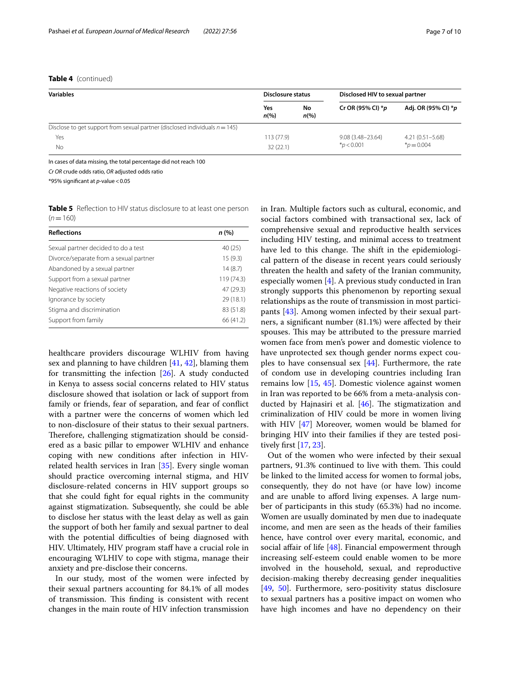## **Table 4** (continued)

| <b>Variables</b>                                                               | Disclosure status      |                          | Disclosed HIV to sexual partner         |                                    |
|--------------------------------------------------------------------------------|------------------------|--------------------------|-----------------------------------------|------------------------------------|
|                                                                                | Yes<br>$n\frac{9}{6}$  | No<br>$n\left(\%\right)$ | Cr OR (95% CI) $*_{p}$                  | Adj. OR (95% CI) *p                |
| Disclose to get support from sexual partner (disclosed individuals $n = 145$ ) |                        |                          |                                         |                                    |
| Yes                                                                            | 113 (77.9)<br>32(22.1) |                          | $9.08(3.48 - 23.64)$<br>$*_{D}$ < 0.001 | $4.21(0.51 - 5.68)$<br>$p = 0.004$ |
| No                                                                             |                        |                          |                                         |                                    |

In cases of data missing, the total percentage did not reach 100

*Cr OR* crude odds ratio, *OR* adjusted odds ratio

\*95% signifcant at *p*-value<0.05

<span id="page-6-0"></span>**Table 5** Reflection to HIV status disclosure to at least one person  $(n=160)$ 

| <b>Reflections</b>                     | n (%)      |
|----------------------------------------|------------|
| Sexual partner decided to do a test    | 40 (25)    |
| Divorce/separate from a sexual partner | 15(9.3)    |
| Abandoned by a sexual partner          | 14(8.7)    |
| Support from a sexual partner          | 119 (74.3) |
| Negative reactions of society          | 47 (29.3)  |
| Ignorance by society                   | 29(18.1)   |
| Stigma and discrimination              | 83 (51.8)  |
| Support from family                    | 66 (41.2)  |

healthcare providers discourage WLHIV from having sex and planning to have children [[41,](#page-9-24) [42](#page-9-25)], blaming them for transmitting the infection [[26\]](#page-9-9). A study conducted in Kenya to assess social concerns related to HIV status disclosure showed that isolation or lack of support from family or friends, fear of separation, and fear of confict with a partner were the concerns of women which led to non-disclosure of their status to their sexual partners. Therefore, challenging stigmatization should be considered as a basic pillar to empower WLHIV and enhance coping with new conditions after infection in HIVrelated health services in Iran [\[35](#page-9-18)]. Every single woman should practice overcoming internal stigma, and HIV disclosure-related concerns in HIV support groups so that she could fght for equal rights in the community against stigmatization. Subsequently, she could be able to disclose her status with the least delay as well as gain the support of both her family and sexual partner to deal with the potential difficulties of being diagnosed with HIV. Ultimately, HIV program staff have a crucial role in encouraging WLHIV to cope with stigma, manage their anxiety and pre-disclose their concerns.

In our study, most of the women were infected by their sexual partners accounting for 84.1% of all modes of transmission. This finding is consistent with recent changes in the main route of HIV infection transmission

in Iran. Multiple factors such as cultural, economic, and social factors combined with transactional sex, lack of comprehensive sexual and reproductive health services including HIV testing, and minimal access to treatment have led to this change. The shift in the epidemiological pattern of the disease in recent years could seriously threaten the health and safety of the Iranian community, especially women [\[4](#page-8-3)]. A previous study conducted in Iran strongly supports this phenomenon by reporting sexual relationships as the route of transmission in most participants [\[43](#page-9-26)]. Among women infected by their sexual partners, a signifcant number (81.1%) were afected by their spouses. This may be attributed to the pressure married women face from men's power and domestic violence to have unprotected sex though gender norms expect couples to have consensual sex [\[44](#page-9-27)]. Furthermore, the rate of condom use in developing countries including Iran remains low [\[15,](#page-8-14) [45](#page-9-28)]. Domestic violence against women in Iran was reported to be 66% from a meta-analysis conducted by Hajnasiri et al.  $[46]$  $[46]$ . The stigmatization and criminalization of HIV could be more in women living with HIV [\[47\]](#page-9-30) Moreover, women would be blamed for bringing HIV into their families if they are tested positively frst [[17](#page-9-0), [23\]](#page-9-6).

Out of the women who were infected by their sexual partners, 91.3% continued to live with them. This could be linked to the limited access for women to formal jobs, consequently, they do not have (or have low) income and are unable to afford living expenses. A large number of participants in this study (65.3%) had no income. Women are usually dominated by men due to inadequate income, and men are seen as the heads of their families hence, have control over every marital, economic, and social affair of life  $[48]$  $[48]$ . Financial empowerment through increasing self-esteem could enable women to be more involved in the household, sexual, and reproductive decision-making thereby decreasing gender inequalities [[49,](#page-9-32) [50\]](#page-9-33). Furthermore, sero-positivity status disclosure to sexual partners has a positive impact on women who have high incomes and have no dependency on their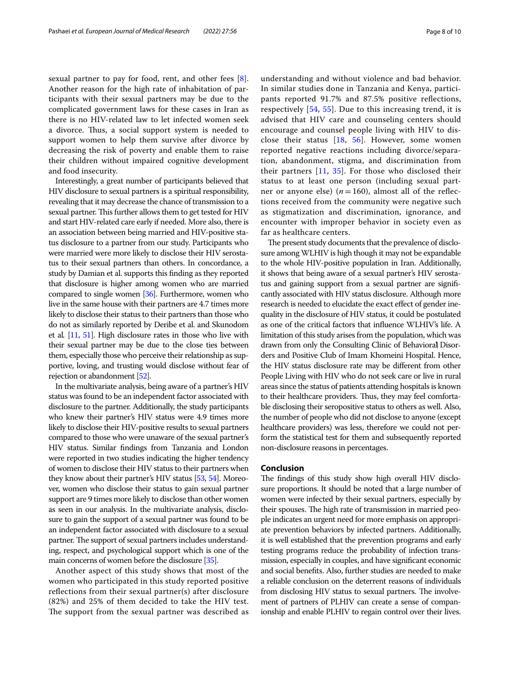sexual partner to pay for food, rent, and other fees [\[8](#page-8-7)]. Another reason for the high rate of inhabitation of participants with their sexual partners may be due to the complicated government laws for these cases in Iran as there is no HIV-related law to let infected women seek a divorce. Thus, a social support system is needed to support women to help them survive after divorce by decreasing the risk of poverty and enable them to raise their children without impaired cognitive development and food insecurity.

Interestingly, a great number of participants believed that HIV disclosure to sexual partners is a spiritual responsibility, revealing that it may decrease the chance of transmission to a sexual partner. This further allows them to get tested for HIV and start HIV-related care early if needed. More also, there is an association between being married and HIV-positive status disclosure to a partner from our study. Participants who were married were more likely to disclose their HIV serostatus to their sexual partners than others. In concordance, a study by Damian et al. supports this fnding as they reported that disclosure is higher among women who are married compared to single women [[36\]](#page-9-19). Furthermore, women who live in the same house with their partners are 4.7 times more likely to disclose their status to their partners than those who do not as similarly reported by Deribe et al. and Skunodom et al*.* [\[11](#page-8-10), [51](#page-9-34)]. High disclosure rates in those who live with their sexual partner may be due to the close ties between them, especially those who perceive their relationship as supportive, loving, and trusting would disclose without fear of rejection or abandonment [\[52\]](#page-9-35).

In the multivariate analysis, being aware of a partner's HIV status was found to be an independent factor associated with disclosure to the partner. Additionally, the study participants who knew their partner's HIV status were 4.9 times more likely to disclose their HIV-positive results to sexual partners compared to those who were unaware of the sexual partner's HIV status. Similar fndings from Tanzania and London were reported in two studies indicating the higher tendency of women to disclose their HIV status to their partners when they know about their partner's HIV status [[53](#page-9-36), [54\]](#page-9-37). Moreover, women who disclose their status to gain sexual partner support are 9 times more likely to disclose than other women as seen in our analysis. In the multivariate analysis, disclosure to gain the support of a sexual partner was found to be an independent factor associated with disclosure to a sexual partner. The support of sexual partners includes understanding, respect, and psychological support which is one of the main concerns of women before the disclosure [\[35](#page-9-18)].

Another aspect of this study shows that most of the women who participated in this study reported positive refections from their sexual partner(s) after disclosure (82%) and 25% of them decided to take the HIV test. The support from the sexual partner was described as understanding and without violence and bad behavior. In similar studies done in Tanzania and Kenya, participants reported 91.7% and 87.5% positive refections, respectively [\[54](#page-9-37), [55](#page-9-38)]. Due to this increasing trend, it is advised that HIV care and counseling centers should encourage and counsel people living with HIV to disclose their status [[18,](#page-9-1) [56\]](#page-9-39). However, some women reported negative reactions including divorce/separation, abandonment, stigma, and discrimination from their partners [[11,](#page-8-10) [35\]](#page-9-18). For those who disclosed their status to at least one person (including sexual partner or anyone else)  $(n=160)$ , almost all of the reflections received from the community were negative such as stigmatization and discrimination, ignorance, and encounter with improper behavior in society even as far as healthcare centers.

The present study documents that the prevalence of disclosure among WLHIV is high though it may not be expandable to the whole HIV-positive population in Iran. Additionally, it shows that being aware of a sexual partner's HIV serostatus and gaining support from a sexual partner are signifcantly associated with HIV status disclosure. Although more research is needed to elucidate the exact efect of gender inequality in the disclosure of HIV status, it could be postulated as one of the critical factors that infuence WLHIV's life. A limitation of this study arises from the population, which was drawn from only the Consulting Clinic of Behavioral Disorders and Positive Club of Imam Khomeini Hospital. Hence, the HIV status disclosure rate may be diferent from other People Living with HIV who do not seek care or live in rural areas since the status of patients attending hospitals is known to their healthcare providers. Thus, they may feel comfortable disclosing their seropositive status to others as well. Also, the number of people who did not disclose to anyone (except healthcare providers) was less, therefore we could not perform the statistical test for them and subsequently reported non-disclosure reasons in percentages.

#### **Conclusion**

The findings of this study show high overall HIV disclosure proportions. It should be noted that a large number of women were infected by their sexual partners, especially by their spouses. The high rate of transmission in married people indicates an urgent need for more emphasis on appropriate prevention behaviors by infected partners. Additionally, it is well established that the prevention programs and early testing programs reduce the probability of infection transmission, especially in couples, and have signifcant economic and social benefts. Also, further studies are needed to make a reliable conclusion on the deterrent reasons of individuals from disclosing HIV status to sexual partners. The involvement of partners of PLHIV can create a sense of companionship and enable PLHIV to regain control over their lives.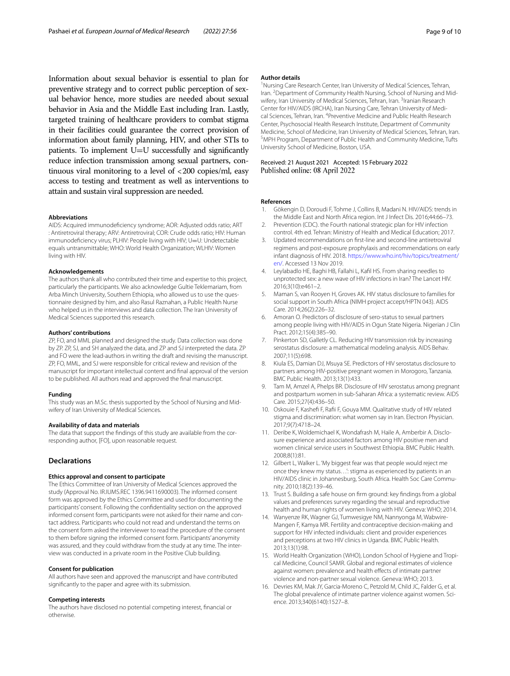Information about sexual behavior is essential to plan for preventive strategy and to correct public perception of sexual behavior hence, more studies are needed about sexual behavior in Asia and the Middle East including Iran. Lastly, targeted training of healthcare providers to combat stigma in their facilities could guarantee the correct provision of information about family planning, HIV, and other STIs to patients. To implement U=U successfully and signifcantly reduce infection transmission among sexual partners, continuous viral monitoring to a level of <200 copies/ml, easy access to testing and treatment as well as interventions to attain and sustain viral suppression are needed.

#### **Abbreviations**

AIDS: Acquired immunodefciency syndrome; AOR: Adjusted odds ratio; ART : Antiretroviral therapy; ARV: Antiretroviral; COR: Crude odds ratio; HIV: Human immunodeficiency virus; PLHIV: People living with HIV; U=U: Undetectable equals untransmittable; WHO: World Health Organization; WLHIV: Women living with HIV.

#### **Acknowledgements**

The authors thank all who contributed their time and expertise to this project, particularly the participants. We also acknowledge Gultie Teklemariam, from Arba Minch University, Southern Ethiopia, who allowed us to use the questionnaire designed by him, and also Rasul Raznahan, a Public Health Nurse who helped us in the interviews and data collection. The Iran University of Medical Sciences supported this research.

#### **Authors' contributions**

ZP, FO, and MML planned and designed the study. Data collection was done by ZP. ZP, SJ, and SH analyzed the data, and ZP and SJ interpreted the data. ZP and FO were the lead-authors in writing the draft and revising the manuscript. ZP, FO, MML, and SJ were responsible for critical review and revision of the manuscript for important intellectual content and fnal approval of the version to be published. All authors read and approved the fnal manuscript.

#### **Funding**

This study was an M.Sc. thesis supported by the School of Nursing and Midwifery of Iran University of Medical Sciences.

#### **Availability of data and materials**

The data that support the findings of this study are available from the corresponding author, [FO], upon reasonable request.

## **Declarations**

#### **Ethics approval and consent to participate**

The Ethics Committee of Iran University of Medical Sciences approved the study (Approval No. IR.IUMS.REC 1396.9411690003). The informed consent form was approved by the Ethics Committee and used for documenting the participants' consent. Following the confdentiality section on the approved informed consent form, participants were not asked for their name and contact address. Participants who could not read and understand the terms on the consent form asked the interviewer to read the procedure of the consent to them before signing the informed consent form. Participants' anonymity was assured, and they could withdraw from the study at any time. The interview was conducted in a private room in the Positive Club building.

#### **Consent for publication**

All authors have seen and approved the manuscript and have contributed signifcantly to the paper and agree with its submission.

#### **Competing interests**

The authors have disclosed no potential competing interest, fnancial or otherwise.

#### **Author details**

<sup>1</sup> Nursing Care Research Center, Iran University of Medical Sciences, Tehran, Iran. <sup>2</sup> Department of Community Health Nursing, School of Nursing and Midwifery, Iran University of Medical Sciences, Tehran, Iran. <sup>3</sup>Iranian Research Center for HIV/AIDS (IRCHA), Iran Nursing Care, Tehran University of Medical Sciences, Tehran, Iran. <sup>4</sup> Preventive Medicine and Public Health Research Center, Psychosocial Health Research Institute, Department of Community Medicine, School of Medicine, Iran University of Medical Sciences, Tehran, Iran. MPH Program, Department of Public Health and Community Medicine, Tufts University School of Medicine, Boston, USA.

## Received: 21 August 2021 Accepted: 15 February 2022 Published online: 08 April 2022

#### **References**

- <span id="page-8-0"></span>1. Gökengin D, Doroudi F, Tohme J, Collins B, Madani N. HIV/AIDS: trends in the Middle East and North Africa region. Int J Infect Dis. 2016;44:66–73.
- <span id="page-8-1"></span>Prevention (CDC). the Fourth national strategic plan for HIV infection control. 4th ed. Tehran: Ministry of Health and Medical Education; 2017.
- <span id="page-8-2"></span>3. Updated recommendations on frst-line and second-line antiretroviral regimens and post-exposure prophylaxis and recommendations on early infant diagnosis of HIV. 2018. [https://www.who.int/hiv/topics/treatment/](https://www.who.int/hiv/topics/treatment/en/) [en/](https://www.who.int/hiv/topics/treatment/en/). Accessed 13 Nov 2019.
- <span id="page-8-3"></span>4. Leylabadlo HE, Baghi HB, Fallahi L, Kafl HS. From sharing needles to unprotected sex: a new wave of HIV infections in Iran? The Lancet HIV. 2016;3(10):e461–2.
- <span id="page-8-4"></span>5. Maman S, van Rooyen H, Groves AK. HIV status disclosure to families for social support in South Africa (NIMH project accept/HPTN 043). AIDS Care. 2014;26(2):226–32.
- <span id="page-8-5"></span>6. Amoran O. Predictors of disclosure of sero-status to sexual partners among people living with HIV/AIDS in Ogun State Nigeria. Nigerian J Clin Pract. 2012;15(4):385–90.
- <span id="page-8-6"></span>7. Pinkerton SD, Galletly CL. Reducing HIV transmission risk by increasing serostatus disclosure: a mathematical modeling analysis. AIDS Behav. 2007;11(5):698.
- <span id="page-8-7"></span>8. Kiula ES, Damian DJ, Msuya SE. Predictors of HIV serostatus disclosure to partners among HIV-positive pregnant women in Morogoro, Tanzania. BMC Public Health. 2013;13(1):433.
- <span id="page-8-8"></span>Tam M, Amzel A, Phelps BR. Disclosure of HIV serostatus among pregnant and postpartum women in sub-Saharan Africa: a systematic review. AIDS Care. 2015;27(4):436–50.
- <span id="page-8-9"></span>10. Oskouie F, Kashefi F, Rafii F, Gouya MM. Qualitative study of HIV related stigma and discrimination: what women say in Iran. Electron Physician. 2017;9(7):4718–24.
- <span id="page-8-10"></span>11. Deribe K, Woldemichael K, Wondafrash M, Haile A, Amberbir A. Disclosure experience and associated factors among HIV positive men and women clinical service users in Southwest Ethiopia. BMC Public Health. 2008;8(1):81.
- <span id="page-8-11"></span>12. Gilbert L, Walker L. 'My biggest fear was that people would reject me once they knew my status…': stigma as experienced by patients in an HIV/AIDS clinic in Johannesburg, South Africa. Health Soc Care Community. 2010;18(2):139–46.
- <span id="page-8-12"></span>13. Trust S. Building a safe house on frm ground: key fndings from a global values and preferences survey regarding the sexual and reproductive health and human rights of women living with HIV. Geneva: WHO; 2014.
- <span id="page-8-13"></span>14. Wanyenze RK, Wagner GJ, Tumwesigye NM, Nannyonga M, Wabwire-Mangen F, Kamya MR. Fertility and contraceptive decision-making and support for HIV infected individuals: client and provider experiences and perceptions at two HIV clinics in Uganda. BMC Public Health. 2013;13(1):98.
- <span id="page-8-14"></span>15. World Health Organization (WHO), London School of Hygiene and Tropical Medicine, Council SAMR. Global and regional estimates of violence against women: prevalence and health effects of intimate partner violence and non-partner sexual violence. Geneva: WHO; 2013.
- <span id="page-8-15"></span>16. Devries KM, Mak JY, Garcia-Moreno C, Petzold M, Child JC, Falder G, et al. The global prevalence of intimate partner violence against women. Sci‑ ence. 2013;340(6140):1527–8.